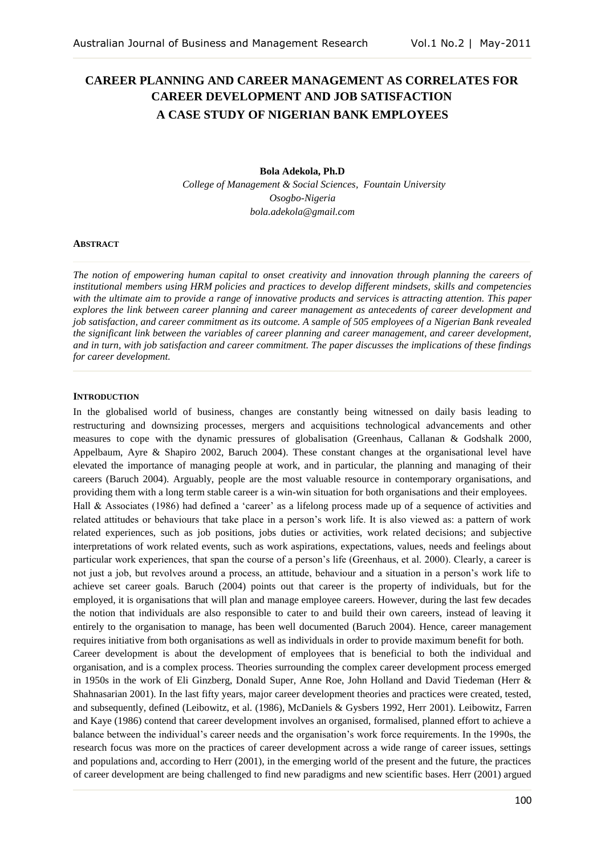# **CAREER PLANNING AND CAREER MANAGEMENT AS CORRELATES FOR CAREER DEVELOPMENT AND JOB SATISFACTION A CASE STUDY OF NIGERIAN BANK EMPLOYEES**

# **Bola Adekola, Ph.D** *College of Management & Social Sciences, Fountain University Osogbo-Nigeri[a](mailto:bola.adekola@gmail.com) [bola.adekola@gmail.com](mailto:bola.adekola@gmail.com)*

#### **ABSTRACT**

*The notion of empowering human capital to onset creativity and innovation through planning the careers of institutional members using HRM policies and practices to develop different mindsets, skills and competencies with the ultimate aim to provide a range of innovative products and services is attracting attention. This paper explores the link between career planning and career management as antecedents of career development and job satisfaction, and career commitment as its outcome. A sample of 505 employees of a Nigerian Bank revealed the significant link between the variables of career planning and career management, and career development, and in turn, with job satisfaction and career commitment. The paper discusses the implications of these findings for career development.*

### **INTRODUCTION**

In the globalised world of business, changes are constantly being witnessed on daily basis leading to restructuring and downsizing processes, mergers and acquisitions technological advancements and other measures to cope with the dynamic pressures of globalisation (Greenhaus, Callanan & Godshalk 2000, Appelbaum, Ayre & Shapiro 2002, Baruch 2004). These constant changes at the organisational level have elevated the importance of managing people at work, and in particular, the planning and managing of their careers (Baruch 2004). Arguably, people are the most valuable resource in contemporary organisations, and providing them with a long term stable career is a win-win situation for both organisations and their employees. Hall & Associates (1986) had defined a "career" as a lifelong process made up of a sequence of activities and related attitudes or behaviours that take place in a person"s work life. It is also viewed as: a pattern of work related experiences, such as job positions, jobs duties or activities, work related decisions; and subjective interpretations of work related events, such as work aspirations, expectations, values, needs and feelings about particular work experiences, that span the course of a person's life (Greenhaus, et al. 2000). Clearly, a career is not just a job, but revolves around a process, an attitude, behaviour and a situation in a person"s work life to achieve set career goals. Baruch (2004) points out that career is the property of individuals, but for the employed, it is organisations that will plan and manage employee careers. However, during the last few decades the notion that individuals are also responsible to cater to and build their own careers, instead of leaving it entirely to the organisation to manage, has been well documented (Baruch 2004). Hence, career management requires initiative from both organisations as well as individuals in order to provide maximum benefit for both. Career development is about the development of employees that is beneficial to both the individual and organisation, and is a complex process. Theories surrounding the complex career development process emerged in 1950s in the work of Eli Ginzberg, Donald Super, Anne Roe, John Holland and David Tiedeman (Herr & Shahnasarian 2001). In the last fifty years, major career development theories and practices were created, tested, and subsequently, defined (Leibowitz, et al. (1986), McDaniels & Gysbers 1992, Herr 2001). Leibowitz, Farren and Kaye (1986) contend that career development involves an organised, formalised, planned effort to achieve a balance between the individual"s career needs and the organisation"s work force requirements. In the 1990s, the research focus was more on the practices of career development across a wide range of career issues, settings and populations and, according to Herr (2001), in the emerging world of the present and the future, the practices of career development are being challenged to find new paradigms and new scientific bases. Herr (2001) argued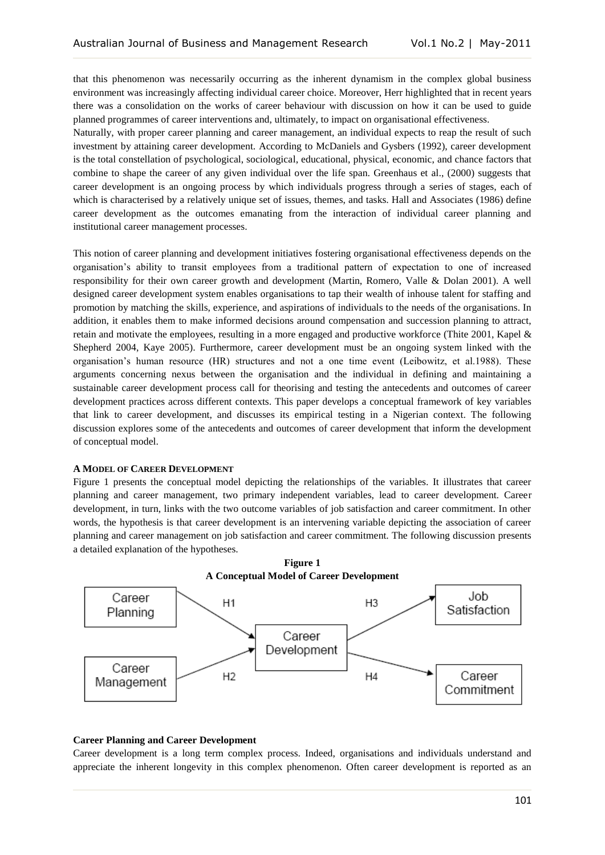that this phenomenon was necessarily occurring as the inherent dynamism in the complex global business environment was increasingly affecting individual career choice. Moreover, Herr highlighted that in recent years there was a consolidation on the works of career behaviour with discussion on how it can be used to guide planned programmes of career interventions and, ultimately, to impact on organisational effectiveness.

Naturally, with proper career planning and career management, an individual expects to reap the result of such investment by attaining career development. According to McDaniels and Gysbers (1992), career development is the total constellation of psychological, sociological, educational, physical, economic, and chance factors that combine to shape the career of any given individual over the life span. Greenhaus et al., (2000) suggests that career development is an ongoing process by which individuals progress through a series of stages, each of which is characterised by a relatively unique set of issues, themes, and tasks. Hall and Associates (1986) define career development as the outcomes emanating from the interaction of individual career planning and institutional career management processes.

This notion of career planning and development initiatives fostering organisational effectiveness depends on the organisation"s ability to transit employees from a traditional pattern of expectation to one of increased responsibility for their own career growth and development (Martin, Romero, Valle & Dolan 2001). A well designed career development system enables organisations to tap their wealth of inhouse talent for staffing and promotion by matching the skills, experience, and aspirations of individuals to the needs of the organisations. In addition, it enables them to make informed decisions around compensation and succession planning to attract, retain and motivate the employees, resulting in a more engaged and productive workforce (Thite 2001, Kapel & Shepherd 2004, Kaye 2005). Furthermore, career development must be an ongoing system linked with the organisation"s human resource (HR) structures and not a one time event (Leibowitz, et al.1988). These arguments concerning nexus between the organisation and the individual in defining and maintaining a sustainable career development process call for theorising and testing the antecedents and outcomes of career development practices across different contexts. This paper develops a conceptual framework of key variables that link to career development, and discusses its empirical testing in a Nigerian context. The following discussion explores some of the antecedents and outcomes of career development that inform the development of conceptual model.

### **A MODEL OF CAREER DEVELOPMENT**

Figure 1 presents the conceptual model depicting the relationships of the variables. It illustrates that career planning and career management, two primary independent variables, lead to career development. Career development, in turn, links with the two outcome variables of job satisfaction and career commitment. In other words, the hypothesis is that career development is an intervening variable depicting the association of career planning and career management on job satisfaction and career commitment. The following discussion presents a detailed explanation of the hypotheses.



#### **Career Planning and Career Development**

Career development is a long term complex process. Indeed, organisations and individuals understand and appreciate the inherent longevity in this complex phenomenon. Often career development is reported as an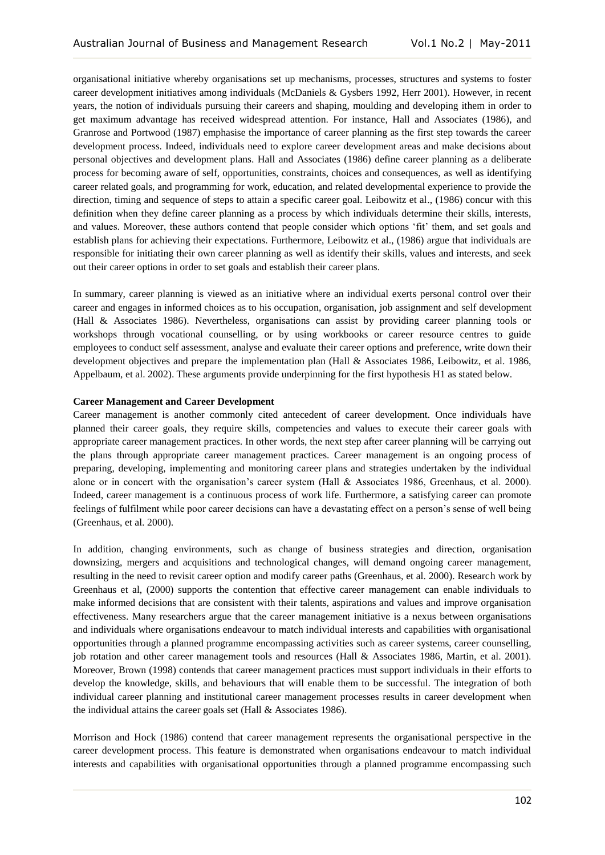organisational initiative whereby organisations set up mechanisms, processes, structures and systems to foster career development initiatives among individuals (McDaniels & Gysbers 1992, Herr 2001). However, in recent years, the notion of individuals pursuing their careers and shaping, moulding and developing ithem in order to get maximum advantage has received widespread attention. For instance, Hall and Associates (1986), and Granrose and Portwood (1987) emphasise the importance of career planning as the first step towards the career development process. Indeed, individuals need to explore career development areas and make decisions about personal objectives and development plans. Hall and Associates (1986) define career planning as a deliberate process for becoming aware of self, opportunities, constraints, choices and consequences, as well as identifying career related goals, and programming for work, education, and related developmental experience to provide the direction, timing and sequence of steps to attain a specific career goal. Leibowitz et al., (1986) concur with this definition when they define career planning as a process by which individuals determine their skills, interests, and values. Moreover, these authors contend that people consider which options "fit" them, and set goals and establish plans for achieving their expectations. Furthermore, Leibowitz et al., (1986) argue that individuals are responsible for initiating their own career planning as well as identify their skills, values and interests, and seek out their career options in order to set goals and establish their career plans.

In summary, career planning is viewed as an initiative where an individual exerts personal control over their career and engages in informed choices as to his occupation, organisation, job assignment and self development (Hall & Associates 1986). Nevertheless, organisations can assist by providing career planning tools or workshops through vocational counselling, or by using workbooks or career resource centres to guide employees to conduct self assessment, analyse and evaluate their career options and preference, write down their development objectives and prepare the implementation plan (Hall & Associates 1986, Leibowitz, et al. 1986, Appelbaum, et al. 2002). These arguments provide underpinning for the first hypothesis H1 as stated below.

### **Career Management and Career Development**

Career management is another commonly cited antecedent of career development. Once individuals have planned their career goals, they require skills, competencies and values to execute their career goals with appropriate career management practices. In other words, the next step after career planning will be carrying out the plans through appropriate career management practices. Career management is an ongoing process of preparing, developing, implementing and monitoring career plans and strategies undertaken by the individual alone or in concert with the organisation"s career system (Hall & Associates 1986, Greenhaus, et al. 2000). Indeed, career management is a continuous process of work life. Furthermore, a satisfying career can promote feelings of fulfilment while poor career decisions can have a devastating effect on a person"s sense of well being (Greenhaus, et al. 2000).

In addition, changing environments, such as change of business strategies and direction, organisation downsizing, mergers and acquisitions and technological changes, will demand ongoing career management, resulting in the need to revisit career option and modify career paths (Greenhaus, et al. 2000). Research work by Greenhaus et al, (2000) supports the contention that effective career management can enable individuals to make informed decisions that are consistent with their talents, aspirations and values and improve organisation effectiveness. Many researchers argue that the career management initiative is a nexus between organisations and individuals where organisations endeavour to match individual interests and capabilities with organisational opportunities through a planned programme encompassing activities such as career systems, career counselling, job rotation and other career management tools and resources (Hall & Associates 1986, Martin, et al. 2001). Moreover, Brown (1998) contends that career management practices must support individuals in their efforts to develop the knowledge, skills, and behaviours that will enable them to be successful. The integration of both individual career planning and institutional career management processes results in career development when the individual attains the career goals set (Hall & Associates 1986).

Morrison and Hock (1986) contend that career management represents the organisational perspective in the career development process. This feature is demonstrated when organisations endeavour to match individual interests and capabilities with organisational opportunities through a planned programme encompassing such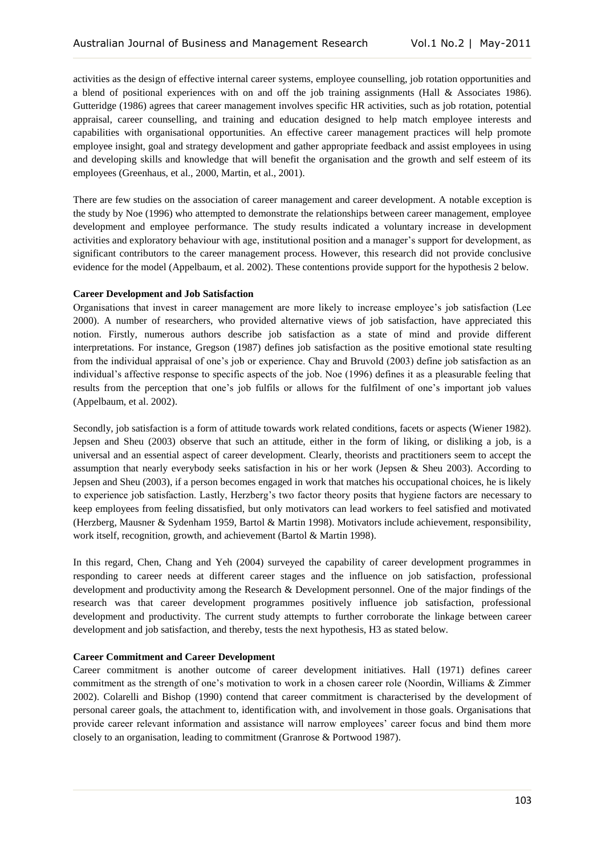activities as the design of effective internal career systems, employee counselling, job rotation opportunities and a blend of positional experiences with on and off the job training assignments (Hall & Associates 1986). Gutteridge (1986) agrees that career management involves specific HR activities, such as job rotation, potential appraisal, career counselling, and training and education designed to help match employee interests and capabilities with organisational opportunities. An effective career management practices will help promote employee insight, goal and strategy development and gather appropriate feedback and assist employees in using and developing skills and knowledge that will benefit the organisation and the growth and self esteem of its employees (Greenhaus, et al., 2000, Martin, et al., 2001).

There are few studies on the association of career management and career development. A notable exception is the study by Noe (1996) who attempted to demonstrate the relationships between career management, employee development and employee performance. The study results indicated a voluntary increase in development activities and exploratory behaviour with age, institutional position and a manager"s support for development, as significant contributors to the career management process. However, this research did not provide conclusive evidence for the model (Appelbaum, et al. 2002). These contentions provide support for the hypothesis 2 below.

### **Career Development and Job Satisfaction**

Organisations that invest in career management are more likely to increase employee"s job satisfaction (Lee 2000). A number of researchers, who provided alternative views of job satisfaction, have appreciated this notion. Firstly, numerous authors describe job satisfaction as a state of mind and provide different interpretations. For instance, Gregson (1987) defines job satisfaction as the positive emotional state resulting from the individual appraisal of one"s job or experience. Chay and Bruvold (2003) define job satisfaction as an individual"s affective response to specific aspects of the job. Noe (1996) defines it as a pleasurable feeling that results from the perception that one"s job fulfils or allows for the fulfilment of one"s important job values (Appelbaum, et al. 2002).

Secondly, job satisfaction is a form of attitude towards work related conditions, facets or aspects (Wiener 1982). Jepsen and Sheu (2003) observe that such an attitude, either in the form of liking, or disliking a job, is a universal and an essential aspect of career development. Clearly, theorists and practitioners seem to accept the assumption that nearly everybody seeks satisfaction in his or her work (Jepsen & Sheu 2003). According to Jepsen and Sheu (2003), if a person becomes engaged in work that matches his occupational choices, he is likely to experience job satisfaction. Lastly, Herzberg"s two factor theory posits that hygiene factors are necessary to keep employees from feeling dissatisfied, but only motivators can lead workers to feel satisfied and motivated (Herzberg, Mausner & Sydenham 1959, Bartol & Martin 1998). Motivators include achievement, responsibility, work itself, recognition, growth, and achievement (Bartol & Martin 1998).

In this regard, Chen, Chang and Yeh (2004) surveyed the capability of career development programmes in responding to career needs at different career stages and the influence on job satisfaction, professional development and productivity among the Research & Development personnel. One of the major findings of the research was that career development programmes positively influence job satisfaction, professional development and productivity. The current study attempts to further corroborate the linkage between career development and job satisfaction, and thereby, tests the next hypothesis, H3 as stated below.

#### **Career Commitment and Career Development**

Career commitment is another outcome of career development initiatives. Hall (1971) defines career commitment as the strength of one"s motivation to work in a chosen career role (Noordin, Williams & Zimmer 2002). Colarelli and Bishop (1990) contend that career commitment is characterised by the development of personal career goals, the attachment to, identification with, and involvement in those goals. Organisations that provide career relevant information and assistance will narrow employees" career focus and bind them more closely to an organisation, leading to commitment (Granrose & Portwood 1987).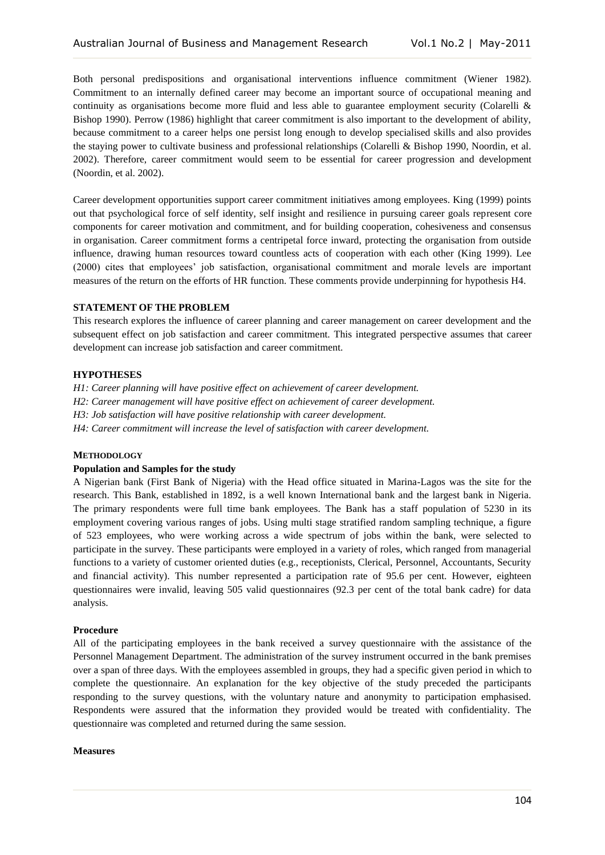Both personal predispositions and organisational interventions influence commitment (Wiener 1982). Commitment to an internally defined career may become an important source of occupational meaning and continuity as organisations become more fluid and less able to guarantee employment security (Colarelli & Bishop 1990). Perrow (1986) highlight that career commitment is also important to the development of ability, because commitment to a career helps one persist long enough to develop specialised skills and also provides the staying power to cultivate business and professional relationships (Colarelli & Bishop 1990, Noordin, et al. 2002). Therefore, career commitment would seem to be essential for career progression and development (Noordin, et al. 2002).

Career development opportunities support career commitment initiatives among employees. King (1999) points out that psychological force of self identity, self insight and resilience in pursuing career goals represent core components for career motivation and commitment, and for building cooperation, cohesiveness and consensus in organisation. Career commitment forms a centripetal force inward, protecting the organisation from outside influence, drawing human resources toward countless acts of cooperation with each other (King 1999). Lee (2000) cites that employees" job satisfaction, organisational commitment and morale levels are important measures of the return on the efforts of HR function. These comments provide underpinning for hypothesis H4.

### **STATEMENT OF THE PROBLEM**

This research explores the influence of career planning and career management on career development and the subsequent effect on job satisfaction and career commitment. This integrated perspective assumes that career development can increase job satisfaction and career commitment.

### **HYPOTHESES**

*H1: Career planning will have positive effect on achievement of career development. H2: Career management will have positive effect on achievement of career development. H3: Job satisfaction will have positive relationship with career development. H4: Career commitment will increase the level of satisfaction with career development.*

#### **METHODOLOGY**

### **Population and Samples for the study**

A Nigerian bank (First Bank of Nigeria) with the Head office situated in Marina-Lagos was the site for the research. This Bank, established in 1892, is a well known International bank and the largest bank in Nigeria. The primary respondents were full time bank employees. The Bank has a staff population of 5230 in its employment covering various ranges of jobs. Using multi stage stratified random sampling technique, a figure of 523 employees, who were working across a wide spectrum of jobs within the bank, were selected to participate in the survey. These participants were employed in a variety of roles, which ranged from managerial functions to a variety of customer oriented duties (e.g., receptionists, Clerical, Personnel, Accountants, Security and financial activity). This number represented a participation rate of 95.6 per cent. However, eighteen questionnaires were invalid, leaving 505 valid questionnaires (92.3 per cent of the total bank cadre) for data analysis.

### **Procedure**

All of the participating employees in the bank received a survey questionnaire with the assistance of the Personnel Management Department. The administration of the survey instrument occurred in the bank premises over a span of three days. With the employees assembled in groups, they had a specific given period in which to complete the questionnaire. An explanation for the key objective of the study preceded the participants responding to the survey questions, with the voluntary nature and anonymity to participation emphasised. Respondents were assured that the information they provided would be treated with confidentiality. The questionnaire was completed and returned during the same session.

#### **Measures**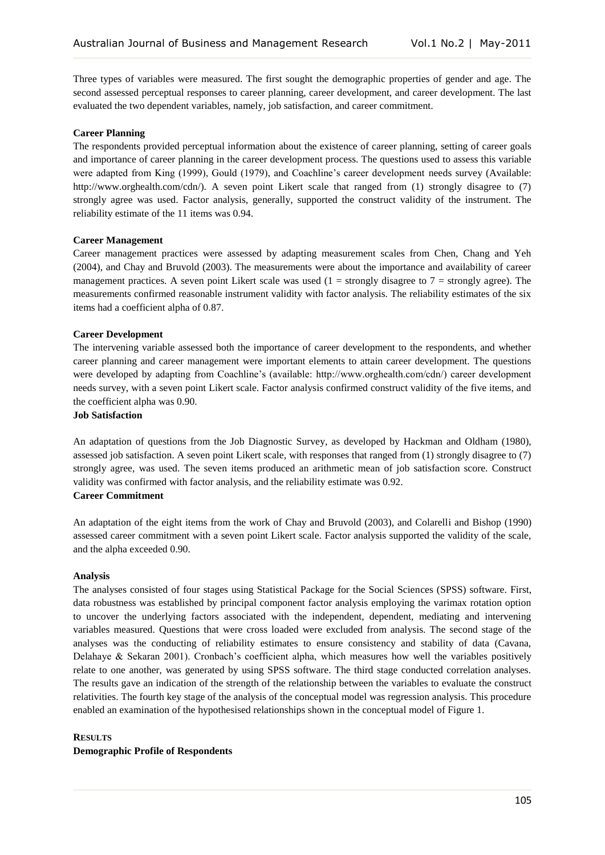Three types of variables were measured. The first sought the demographic properties of gender and age. The second assessed perceptual responses to career planning, career development, and career development. The last evaluated the two dependent variables, namely, job satisfaction, and career commitment.

## **Career Planning**

The respondents provided perceptual information about the existence of career planning, setting of career goals and importance of career planning in the career development process. The questions used to assess this variable were adapted from King (1999), Gould (1979), and Coachline"s career development needs survey (Available: http://www.orghealth.com/cdn/). A seven point Likert scale that ranged from (1) strongly disagree to (7) strongly agree was used. Factor analysis, generally, supported the construct validity of the instrument. The reliability estimate of the 11 items was 0.94.

### **Career Management**

Career management practices were assessed by adapting measurement scales from Chen, Chang and Yeh (2004), and Chay and Bruvold (2003). The measurements were about the importance and availability of career management practices. A seven point Likert scale was used  $(1 = \text{strongly disagree to } 7 = \text{strongly agree})$ . The measurements confirmed reasonable instrument validity with factor analysis. The reliability estimates of the six items had a coefficient alpha of 0.87.

# **Career Development**

The intervening variable assessed both the importance of career development to the respondents, and whether career planning and career management were important elements to attain career development. The questions were developed by adapting from Coachline's (available: http://www.orghealth.com/cdn/) career development needs survey, with a seven point Likert scale. Factor analysis confirmed construct validity of the five items, and the coefficient alpha was 0.90.

# **Job Satisfaction**

An adaptation of questions from the Job Diagnostic Survey, as developed by Hackman and Oldham (1980), assessed job satisfaction. A seven point Likert scale, with responses that ranged from (1) strongly disagree to (7) strongly agree, was used. The seven items produced an arithmetic mean of job satisfaction score. Construct validity was confirmed with factor analysis, and the reliability estimate was 0.92.

# **Career Commitment**

An adaptation of the eight items from the work of Chay and Bruvold (2003), and Colarelli and Bishop (1990) assessed career commitment with a seven point Likert scale. Factor analysis supported the validity of the scale, and the alpha exceeded 0.90.

### **Analysis**

The analyses consisted of four stages using Statistical Package for the Social Sciences (SPSS) software. First, data robustness was established by principal component factor analysis employing the varimax rotation option to uncover the underlying factors associated with the independent, dependent, mediating and intervening variables measured. Questions that were cross loaded were excluded from analysis. The second stage of the analyses was the conducting of reliability estimates to ensure consistency and stability of data (Cavana, Delahaye & Sekaran 2001). Cronbach's coefficient alpha, which measures how well the variables positively relate to one another, was generated by using SPSS software. The third stage conducted correlation analyses. The results gave an indication of the strength of the relationship between the variables to evaluate the construct relativities. The fourth key stage of the analysis of the conceptual model was regression analysis. This procedure enabled an examination of the hypothesised relationships shown in the conceptual model of Figure 1.

### **RESULTS**

### **Demographic Profile of Respondents**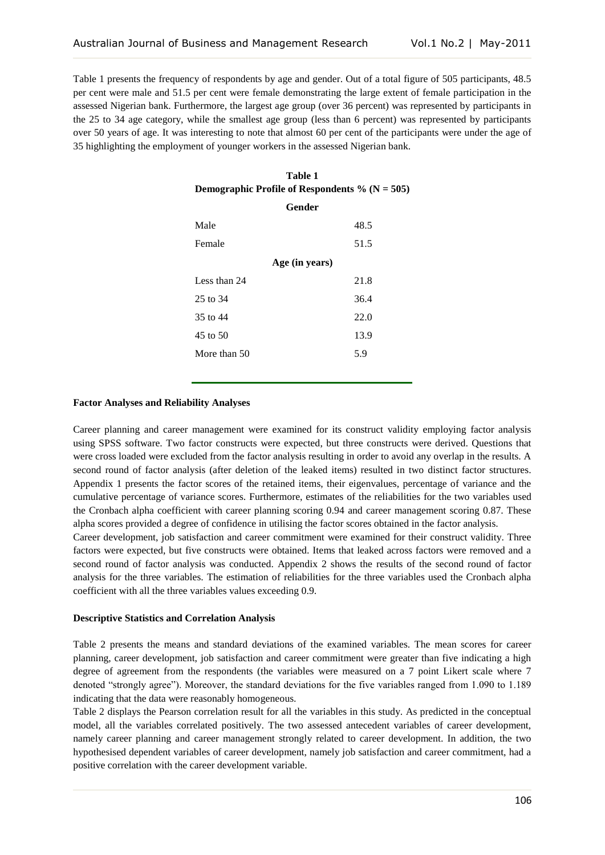Table 1 presents the frequency of respondents by age and gender. Out of a total figure of 505 participants, 48.5 per cent were male and 51.5 per cent were female demonstrating the large extent of female participation in the assessed Nigerian bank. Furthermore, the largest age group (over 36 percent) was represented by participants in the 25 to 34 age category, while the smallest age group (less than 6 percent) was represented by participants over 50 years of age. It was interesting to note that almost 60 per cent of the participants were under the age of 35 highlighting the employment of younger workers in the assessed Nigerian bank.

**Table 1**

| Demographic Profile of Respondents % ( $N = 505$ ) |      |  |  |  |  |
|----------------------------------------------------|------|--|--|--|--|
| Gender                                             |      |  |  |  |  |
| Male                                               | 48.5 |  |  |  |  |
| Female                                             | 51.5 |  |  |  |  |
| Age (in years)                                     |      |  |  |  |  |
| Less than 24                                       | 21.8 |  |  |  |  |
| 25 to 34                                           | 36.4 |  |  |  |  |
| 35 to 44                                           | 22.0 |  |  |  |  |
| 45 to 50                                           | 13.9 |  |  |  |  |
| More than 50                                       | 5.9  |  |  |  |  |
|                                                    |      |  |  |  |  |

### **Factor Analyses and Reliability Analyses**

Career planning and career management were examined for its construct validity employing factor analysis using SPSS software. Two factor constructs were expected, but three constructs were derived. Questions that were cross loaded were excluded from the factor analysis resulting in order to avoid any overlap in the results. A second round of factor analysis (after deletion of the leaked items) resulted in two distinct factor structures. Appendix 1 presents the factor scores of the retained items, their eigenvalues, percentage of variance and the cumulative percentage of variance scores. Furthermore, estimates of the reliabilities for the two variables used the Cronbach alpha coefficient with career planning scoring 0.94 and career management scoring 0.87. These alpha scores provided a degree of confidence in utilising the factor scores obtained in the factor analysis.

Career development, job satisfaction and career commitment were examined for their construct validity. Three factors were expected, but five constructs were obtained. Items that leaked across factors were removed and a second round of factor analysis was conducted. Appendix 2 shows the results of the second round of factor analysis for the three variables. The estimation of reliabilities for the three variables used the Cronbach alpha coefficient with all the three variables values exceeding 0.9.

#### **Descriptive Statistics and Correlation Analysis**

Table 2 presents the means and standard deviations of the examined variables. The mean scores for career planning, career development, job satisfaction and career commitment were greater than five indicating a high degree of agreement from the respondents (the variables were measured on a 7 point Likert scale where 7 denoted "strongly agree"). Moreover, the standard deviations for the five variables ranged from 1.090 to 1.189 indicating that the data were reasonably homogeneous.

Table 2 displays the Pearson correlation result for all the variables in this study. As predicted in the conceptual model, all the variables correlated positively. The two assessed antecedent variables of career development, namely career planning and career management strongly related to career development. In addition, the two hypothesised dependent variables of career development, namely job satisfaction and career commitment, had a positive correlation with the career development variable.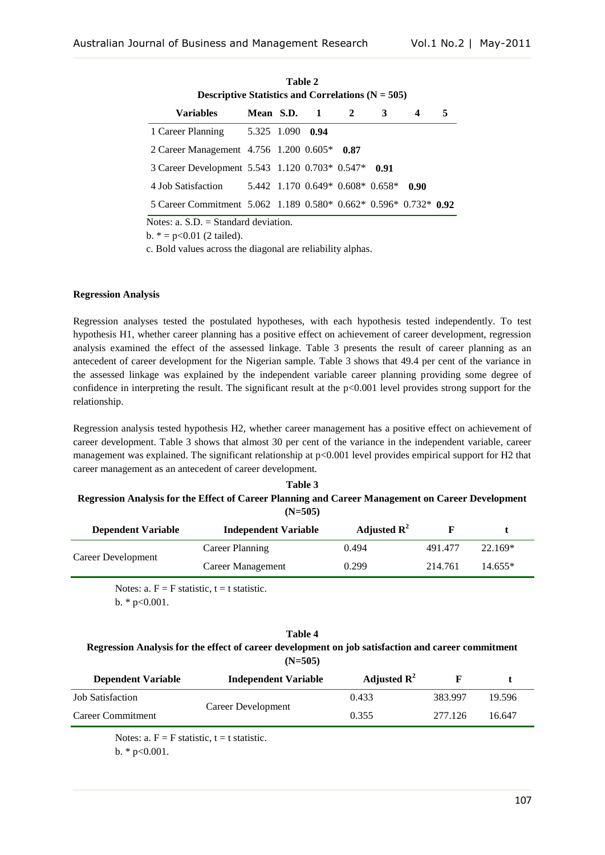| Table 2                                                          |               |  |                                    |                         |   |      |   |
|------------------------------------------------------------------|---------------|--|------------------------------------|-------------------------|---|------|---|
| Descriptive Statistics and Correlations $(N = 505)$              |               |  |                                    |                         |   |      |   |
| <b>Variables</b>                                                 | Mean $S.D.$ 1 |  |                                    | $\overline{\mathbf{c}}$ | 3 | 4    | 5 |
| 1 Career Planning                                                | 5.325 1.090   |  | 0.94                               |                         |   |      |   |
| 2 Career Management 4.756 1.200 0.605* 0.87                      |               |  |                                    |                         |   |      |   |
| 3 Career Development 5.543 1.120 0.703* 0.547* 0.91              |               |  |                                    |                         |   |      |   |
| 4 Job Satisfaction                                               |               |  | $5.442$ 1.170 0.649* 0.608* 0.658* |                         |   | 0.90 |   |
| 5 Career Commitment 5.062 1.189 0.580* 0.662* 0.596* 0.732* 0.92 |               |  |                                    |                         |   |      |   |

Notes: a. S.D. = Standard deviation.

b.  $* = p < 0.01$  (2 tailed).

c. Bold values across the diagonal are reliability alphas.

# **Regression Analysis**

Regression analyses tested the postulated hypotheses, with each hypothesis tested independently. To test hypothesis H1, whether career planning has a positive effect on achievement of career development, regression analysis examined the effect of the assessed linkage. Table 3 presents the result of career planning as an antecedent of career development for the Nigerian sample. Table 3 shows that 49.4 per cent of the variance in the assessed linkage was explained by the independent variable career planning providing some degree of confidence in interpreting the result. The significant result at the p<0.001 level provides strong support for the relationship.

Regression analysis tested hypothesis H2, whether career management has a positive effect on achievement of career development. Table 3 shows that almost 30 per cent of the variance in the independent variable, career management was explained. The significant relationship at p<0.001 level provides empirical support for H2 that career management as an antecedent of career development.

# **Table 3 Regression Analysis for the Effect of Career Planning and Career Management on Career Development (N=505)**

| <b>Dependent Variable</b> | <b>Independent Variable</b> | Adjusted $\mathbb{R}^2$ |         |           |
|---------------------------|-----------------------------|-------------------------|---------|-----------|
|                           | Career Planning             | 0.494                   | 491.477 | $22.169*$ |
| Career Development        | Career Management           | 0.299                   | 214.761 | $14.655*$ |

Notes: a.  $F = F$  statistic,  $t = t$  statistic. b.  $*$  p<0.001.

# **Table 4 Regression Analysis for the effect of career development on job satisfaction and career commitment (N=505)**

| <b>Dependent Variable</b> | <b>Independent Variable</b> | Adjusted $\mathbb{R}^2$ |         |        |
|---------------------------|-----------------------------|-------------------------|---------|--------|
| <b>Job Satisfaction</b>   | Career Development          | 0.433                   | 383.997 | 19.596 |
| <b>Career Commitment</b>  |                             | 0.355                   | 277.126 | 16.647 |

Notes:  $a. F = F$  statistic,  $t = t$  statistic. b. \* p<0.001.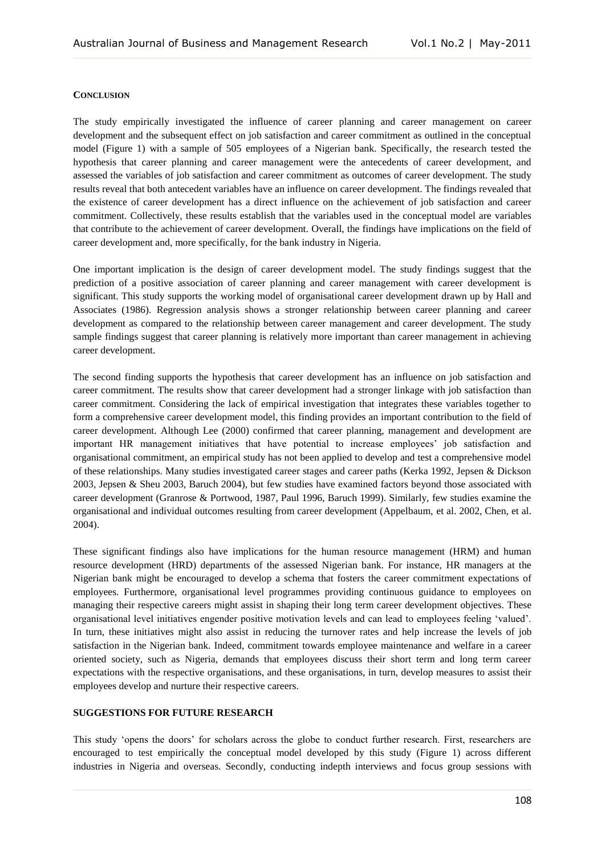### **CONCLUSION**

The study empirically investigated the influence of career planning and career management on career development and the subsequent effect on job satisfaction and career commitment as outlined in the conceptual model (Figure 1) with a sample of 505 employees of a Nigerian bank. Specifically, the research tested the hypothesis that career planning and career management were the antecedents of career development, and assessed the variables of job satisfaction and career commitment as outcomes of career development. The study results reveal that both antecedent variables have an influence on career development. The findings revealed that the existence of career development has a direct influence on the achievement of job satisfaction and career commitment. Collectively, these results establish that the variables used in the conceptual model are variables that contribute to the achievement of career development. Overall, the findings have implications on the field of career development and, more specifically, for the bank industry in Nigeria.

One important implication is the design of career development model. The study findings suggest that the prediction of a positive association of career planning and career management with career development is significant. This study supports the working model of organisational career development drawn up by Hall and Associates (1986). Regression analysis shows a stronger relationship between career planning and career development as compared to the relationship between career management and career development. The study sample findings suggest that career planning is relatively more important than career management in achieving career development.

The second finding supports the hypothesis that career development has an influence on job satisfaction and career commitment. The results show that career development had a stronger linkage with job satisfaction than career commitment. Considering the lack of empirical investigation that integrates these variables together to form a comprehensive career development model, this finding provides an important contribution to the field of career development. Although Lee (2000) confirmed that career planning, management and development are important HR management initiatives that have potential to increase employees" job satisfaction and organisational commitment, an empirical study has not been applied to develop and test a comprehensive model of these relationships. Many studies investigated career stages and career paths (Kerka 1992, Jepsen & Dickson 2003, Jepsen & Sheu 2003, Baruch 2004), but few studies have examined factors beyond those associated with career development (Granrose & Portwood, 1987, Paul 1996, Baruch 1999). Similarly, few studies examine the organisational and individual outcomes resulting from career development (Appelbaum, et al. 2002, Chen, et al. 2004).

These significant findings also have implications for the human resource management (HRM) and human resource development (HRD) departments of the assessed Nigerian bank. For instance, HR managers at the Nigerian bank might be encouraged to develop a schema that fosters the career commitment expectations of employees. Furthermore, organisational level programmes providing continuous guidance to employees on managing their respective careers might assist in shaping their long term career development objectives. These organisational level initiatives engender positive motivation levels and can lead to employees feeling "valued". In turn, these initiatives might also assist in reducing the turnover rates and help increase the levels of job satisfaction in the Nigerian bank. Indeed, commitment towards employee maintenance and welfare in a career oriented society, such as Nigeria, demands that employees discuss their short term and long term career expectations with the respective organisations, and these organisations, in turn, develop measures to assist their employees develop and nurture their respective careers.

### **SUGGESTIONS FOR FUTURE RESEARCH**

This study "opens the doors" for scholars across the globe to conduct further research. First, researchers are encouraged to test empirically the conceptual model developed by this study (Figure 1) across different industries in Nigeria and overseas. Secondly, conducting indepth interviews and focus group sessions with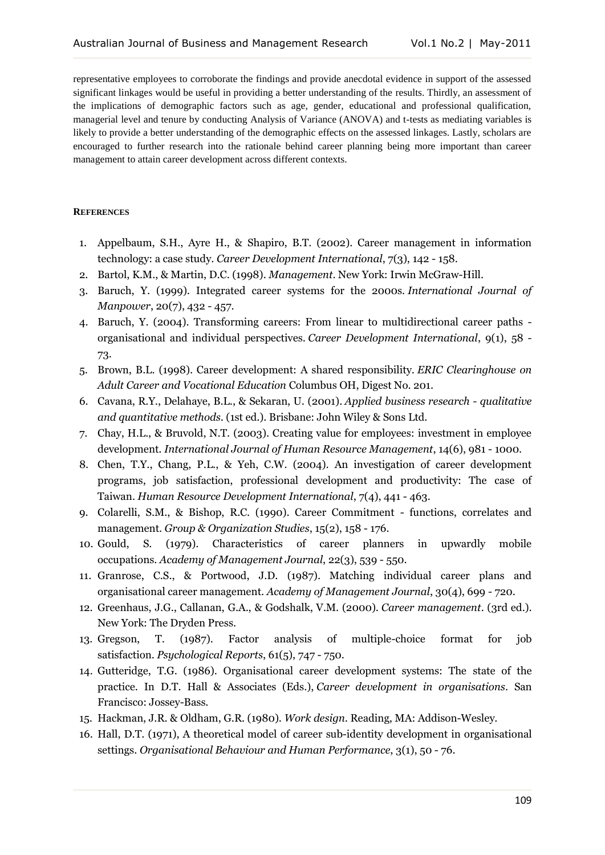representative employees to corroborate the findings and provide anecdotal evidence in support of the assessed significant linkages would be useful in providing a better understanding of the results. Thirdly, an assessment of the implications of demographic factors such as age, gender, educational and professional qualification, managerial level and tenure by conducting Analysis of Variance (ANOVA) and t-tests as mediating variables is likely to provide a better understanding of the demographic effects on the assessed linkages. Lastly, scholars are encouraged to further research into the rationale behind career planning being more important than career management to attain career development across different contexts.

# **REFERENCES**

- 1. Appelbaum, S.H., Ayre H., & Shapiro, B.T. (2002). Career management in information technology: a case study. *Career Development International*, 7(3), 142 - 158.
- 2. Bartol, K.M., & Martin, D.C. (1998). *Management*. New York: Irwin McGraw-Hill.
- 3. Baruch, Y. (1999). Integrated career systems for the 2000s. *International Journal of Manpower*, 20(7), 432 - 457.
- 4. Baruch, Y. (2004). Transforming careers: From linear to multidirectional career paths organisational and individual perspectives. *Career Development International*, 9(1), 58 - 73.
- 5. Brown, B.L. (1998). Career development: A shared responsibility. *ERIC Clearinghouse on Adult Career and Vocational Education* Columbus OH, Digest No. 201.
- 6. Cavana, R.Y., Delahaye, B.L., & Sekaran, U. (2001). *Applied business research - qualitative and quantitative methods*. (1st ed.). Brisbane: John Wiley & Sons Ltd.
- 7. Chay, H.L., & Bruvold, N.T. (2003). Creating value for employees: investment in employee development. *International Journal of Human Resource Management*, 14(6), 981 - 1000.
- 8. Chen, T.Y., Chang, P.L., & Yeh, C.W. (2004). An investigation of career development programs, job satisfaction, professional development and productivity: The case of Taiwan. *Human Resource Development International*, 7(4), 441 - 463.
- 9. Colarelli, S.M., & Bishop, R.C. (1990). Career Commitment functions, correlates and management. *Group & Organization Studies*, 15(2), 158 - 176.
- 10. Gould, S. (1979). Characteristics of career planners in upwardly mobile occupations. *Academy of Management Journal*, 22(3), 539 - 550.
- 11. Granrose, C.S., & Portwood, J.D. (1987). Matching individual career plans and organisational career management. *Academy of Management Journal*, 30(4), 699 - 720.
- 12. Greenhaus, J.G., Callanan, G.A., & Godshalk, V.M. (2000). *Career management*. (3rd ed.). New York: The Dryden Press.
- 13. Gregson, T. (1987). Factor analysis of multiple-choice format for job satisfaction. *Psychological Reports*, 61(5), 747 - 750.
- 14. Gutteridge, T.G. (1986). Organisational career development systems: The state of the practice. In D.T. Hall & Associates (Eds.), *Career development in organisations*. San Francisco: Jossey-Bass.
- 15. Hackman, J.R. & Oldham, G.R. (1980). *Work design*. Reading, MA: Addison-Wesley.
- 16. Hall, D.T. (1971), A theoretical model of career sub-identity development in organisational settings. *Organisational Behaviour and Human Performance*, 3(1), 50 - 76.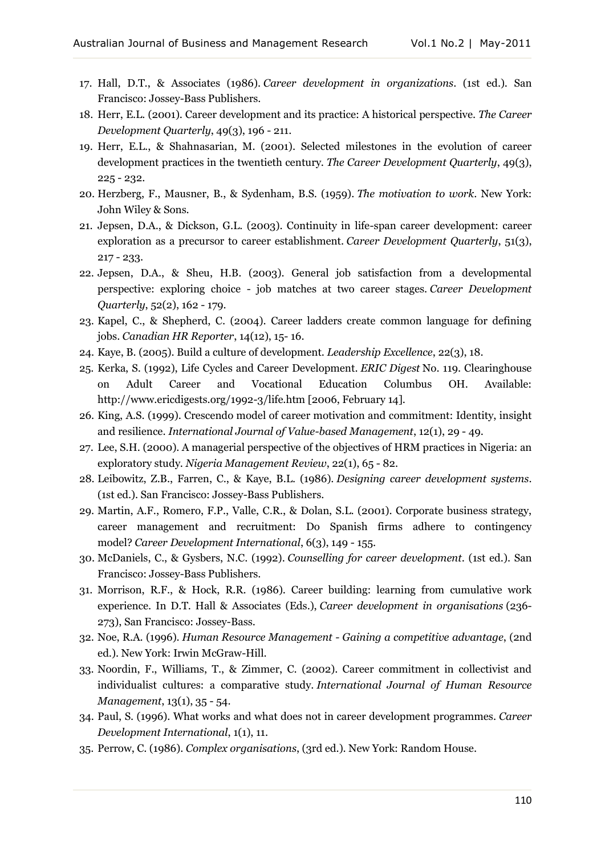- 17. Hall, D.T., & Associates (1986). *Career development in organizations*. (1st ed.). San Francisco: Jossey-Bass Publishers.
- 18. Herr, E.L. (2001). Career development and its practice: A historical perspective. *The Career Development Quarterly*, 49(3), 196 - 211.
- 19. Herr, E.L., & Shahnasarian, M. (2001). Selected milestones in the evolution of career development practices in the twentieth century. *The Career Development Quarterly*, 49(3), 225 - 232.
- 20. Herzberg, F., Mausner, B., & Sydenham, B.S. (1959). *The motivation to work*. New York: John Wiley & Sons.
- 21. Jepsen, D.A., & Dickson, G.L. (2003). Continuity in life-span career development: career exploration as a precursor to career establishment. *Career Development Quarterly*, 51(3), 217 - 233.
- 22. Jepsen, D.A., & Sheu, H.B. (2003). General job satisfaction from a developmental perspective: exploring choice - job matches at two career stages. *Career Development Quarterly*, 52(2), 162 - 179.
- 23. Kapel, C., & Shepherd, C. (2004). Career ladders create common language for defining jobs. *Canadian HR Reporter*, 14(12), 15- 16.
- 24. Kaye, B. (2005). Build a culture of development. *Leadership Excellence*, 22(3), 18.
- 25. Kerka, S. (1992), Life Cycles and Career Development. *ERIC Digest* No. 119. Clearinghouse on Adult Career and Vocational Education Columbus OH. Available: http://www.ericdigests.org/1992-3/life.htm [2006, February 14].
- 26. King, A.S. (1999). Crescendo model of career motivation and commitment: Identity, insight and resilience. *International Journal of Value-based Management*, 12(1), 29 - 49.
- 27. Lee, S.H. (2000). A managerial perspective of the objectives of HRM practices in Nigeria: an exploratory study. *Nigeria Management Review*, 22(1), 65 - 82.
- 28. Leibowitz, Z.B., Farren, C., & Kaye, B.L. (1986). *Designing career development systems*. (1st ed.). San Francisco: Jossey-Bass Publishers.
- 29. Martin, A.F., Romero, F.P., Valle, C.R., & Dolan, S.L. (2001). Corporate business strategy, career management and recruitment: Do Spanish firms adhere to contingency model? *Career Development International*, 6(3), 149 - 155.
- 30. McDaniels, C., & Gysbers, N.C. (1992). *Counselling for career development*. (1st ed.). San Francisco: Jossey-Bass Publishers.
- 31. Morrison, R.F., & Hock, R.R. (1986). Career building: learning from cumulative work experience. In D.T. Hall & Associates (Eds.), *Career development in organisations* (236- 273), San Francisco: Jossey-Bass.
- 32. Noe, R.A. (1996). *Human Resource Management - Gaining a competitive advantage*, (2nd ed.). New York: Irwin McGraw-Hill.
- 33. Noordin, F., Williams, T., & Zimmer, C. (2002). Career commitment in collectivist and individualist cultures: a comparative study. *International Journal of Human Resource Management*, 13(1), 35 - 54.
- 34. Paul, S. (1996). What works and what does not in career development programmes. *Career Development International*, 1(1), 11.
- 35. Perrow, C. (1986). *Complex organisations*, (3rd ed.). New York: Random House.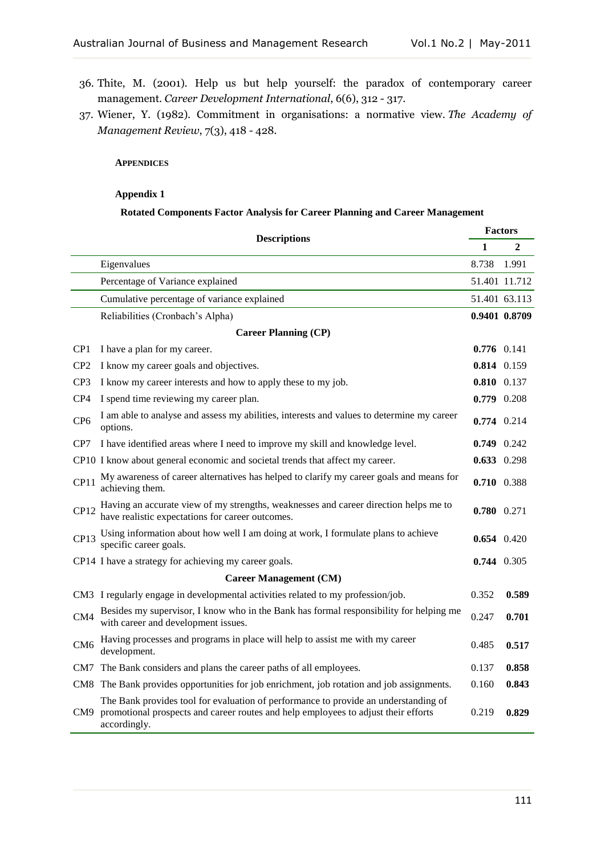- 36. Thite, M. (2001). Help us but help yourself: the paradox of contemporary career management. *Career Development International*, 6(6), 312 - 317.
- 37. Wiener, Y. (1982). Commitment in organisations: a normative view. *The Academy of Management Review*, 7(3), 418 - 428.

**APPENDICES**

# **Appendix 1**

# **Rotated Components Factor Analysis for Career Planning and Career Management**

|                               | <b>Descriptions</b>                                                                                                                                                                       |               | <b>Factors</b> |  |  |  |
|-------------------------------|-------------------------------------------------------------------------------------------------------------------------------------------------------------------------------------------|---------------|----------------|--|--|--|
|                               |                                                                                                                                                                                           |               | 2              |  |  |  |
|                               | Eigenvalues                                                                                                                                                                               | 8.738         | 1.991          |  |  |  |
|                               | Percentage of Variance explained                                                                                                                                                          |               | 51.401 11.712  |  |  |  |
|                               | Cumulative percentage of variance explained                                                                                                                                               |               | 51.401 63.113  |  |  |  |
|                               | Reliabilities (Cronbach's Alpha)                                                                                                                                                          |               | 0.9401 0.8709  |  |  |  |
|                               | <b>Career Planning (CP)</b>                                                                                                                                                               |               |                |  |  |  |
| CP1                           | I have a plan for my career.                                                                                                                                                              | $0.776$ 0.141 |                |  |  |  |
| CP <sub>2</sub>               | I know my career goals and objectives.                                                                                                                                                    | 0.814 0.159   |                |  |  |  |
| CP <sub>3</sub>               | I know my career interests and how to apply these to my job.                                                                                                                              | 0.810 0.137   |                |  |  |  |
| CP4                           | I spend time reviewing my career plan.                                                                                                                                                    | 0.779 0.208   |                |  |  |  |
| CP <sub>6</sub>               | I am able to analyse and assess my abilities, interests and values to determine my career<br>options.                                                                                     | 0.774 0.214   |                |  |  |  |
| CP7                           | I have identified areas where I need to improve my skill and knowledge level.                                                                                                             | $0.749$ 0.242 |                |  |  |  |
|                               | CP10 I know about general economic and societal trends that affect my career.                                                                                                             | $0.633$ 0.298 |                |  |  |  |
| CP11                          | My awareness of career alternatives has helped to clarify my career goals and means for<br>achieving them.                                                                                | 0.710 0.388   |                |  |  |  |
| <b>CP12</b>                   | Having an accurate view of my strengths, weaknesses and career direction helps me to<br>have realistic expectations for career outcomes.                                                  | 0.780 0.271   |                |  |  |  |
| CP13                          | Using information about how well I am doing at work, I formulate plans to achieve<br>specific career goals.                                                                               | $0.654$ 0.420 |                |  |  |  |
|                               | CP14 I have a strategy for achieving my career goals.                                                                                                                                     | 0.744 0.305   |                |  |  |  |
| <b>Career Management (CM)</b> |                                                                                                                                                                                           |               |                |  |  |  |
|                               | CM3 I regularly engage in developmental activities related to my profession/job.                                                                                                          | 0.352         | 0.589          |  |  |  |
| CM4                           | Besides my supervisor, I know who in the Bank has formal responsibility for helping me<br>with career and development issues.                                                             | 0.247         | 0.701          |  |  |  |
| CM <sub>6</sub>               | Having processes and programs in place will help to assist me with my career<br>development.                                                                                              | 0.485         | 0.517          |  |  |  |
|                               | CM7 The Bank considers and plans the career paths of all employees.                                                                                                                       | 0.137         | 0.858          |  |  |  |
|                               | CM8 The Bank provides opportunities for job enrichment, job rotation and job assignments.                                                                                                 | 0.160         | 0.843          |  |  |  |
| CM9                           | The Bank provides tool for evaluation of performance to provide an understanding of<br>promotional prospects and career routes and help employees to adjust their efforts<br>accordingly. | 0.219         | 0.829          |  |  |  |